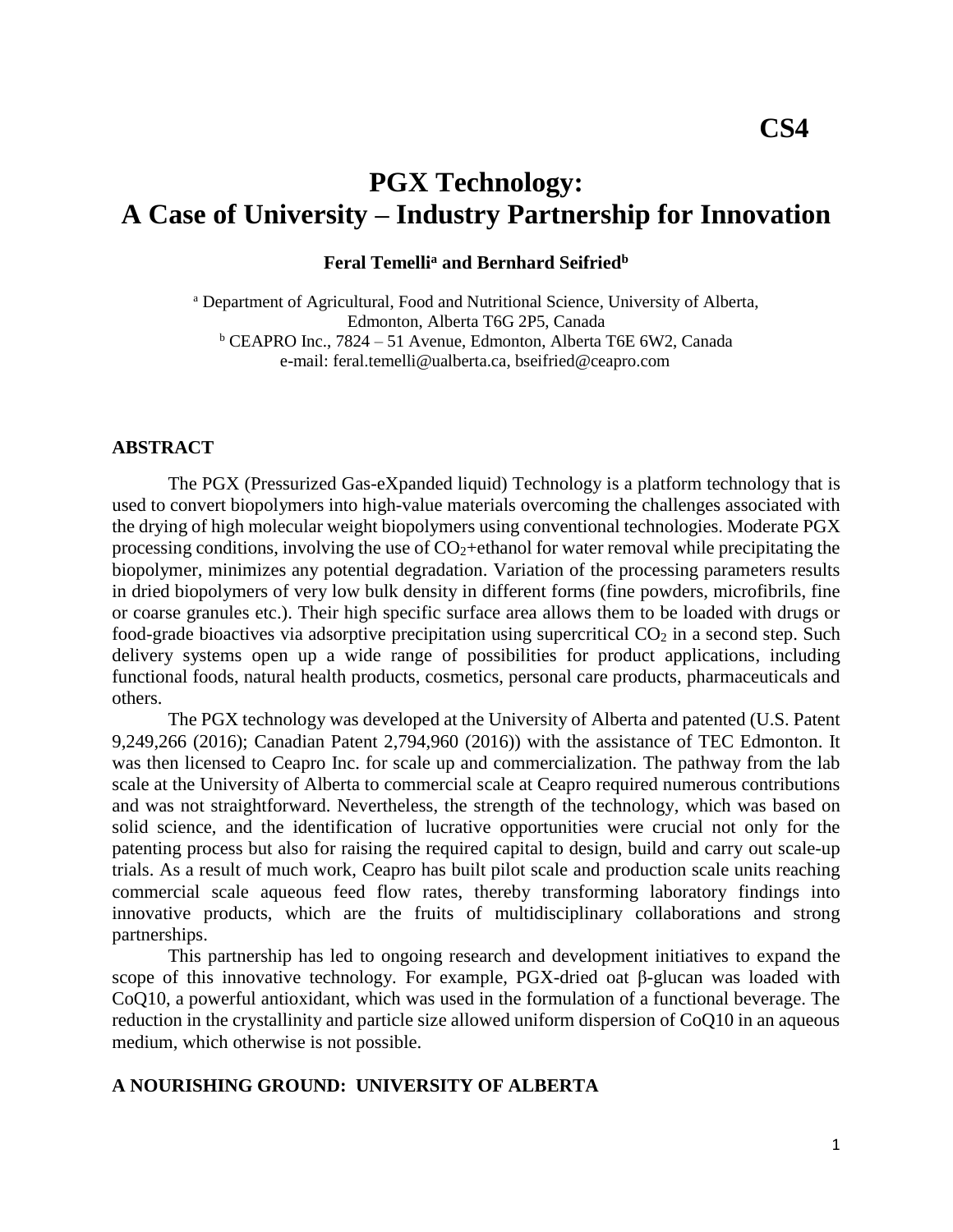# **PGX Technology: A Case of University – Industry Partnership for Innovation**

#### **Feral Temelli<sup>a</sup> and Bernhard Seifried<sup>b</sup>**

<sup>a</sup> Department of Agricultural, Food and Nutritional Science, University of Alberta, Edmonton, Alberta T6G 2P5, Canada <sup>b</sup> CEAPRO Inc., 7824 – 51 Avenue, Edmonton, Alberta T6E 6W2, Canada e-mail: feral.temelli@ualberta.ca, bseifried@ceapro.com

### **ABSTRACT**

The PGX (Pressurized Gas-eXpanded liquid) Technology is a platform technology that is used to convert biopolymers into high-value materials overcoming the challenges associated with the drying of high molecular weight biopolymers using conventional technologies. Moderate PGX processing conditions, involving the use of  $CO<sub>2</sub> +ethanol$  for water removal while precipitating the biopolymer, minimizes any potential degradation. Variation of the processing parameters results in dried biopolymers of very low bulk density in different forms (fine powders, microfibrils, fine or coarse granules etc.). Their high specific surface area allows them to be loaded with drugs or food-grade bioactives via adsorptive precipitation using supercritical  $CO<sub>2</sub>$  in a second step. Such delivery systems open up a wide range of possibilities for product applications, including functional foods, natural health products, cosmetics, personal care products, pharmaceuticals and others.

The PGX technology was developed at the University of Alberta and patented (U.S. Patent 9,249,266 (2016); Canadian Patent 2,794,960 (2016)) with the assistance of TEC Edmonton. It was then licensed to Ceapro Inc. for scale up and commercialization. The pathway from the lab scale at the University of Alberta to commercial scale at Ceapro required numerous contributions and was not straightforward. Nevertheless, the strength of the technology, which was based on solid science, and the identification of lucrative opportunities were crucial not only for the patenting process but also for raising the required capital to design, build and carry out scale-up trials. As a result of much work, Ceapro has built pilot scale and production scale units reaching commercial scale aqueous feed flow rates, thereby transforming laboratory findings into innovative products, which are the fruits of multidisciplinary collaborations and strong partnerships.

This partnership has led to ongoing research and development initiatives to expand the scope of this innovative technology. For example, PGX-dried oat β-glucan was loaded with CoQ10, a powerful antioxidant, which was used in the formulation of a functional beverage. The reduction in the crystallinity and particle size allowed uniform dispersion of CoQ10 in an aqueous medium, which otherwise is not possible.

#### **A NOURISHING GROUND: UNIVERSITY OF ALBERTA**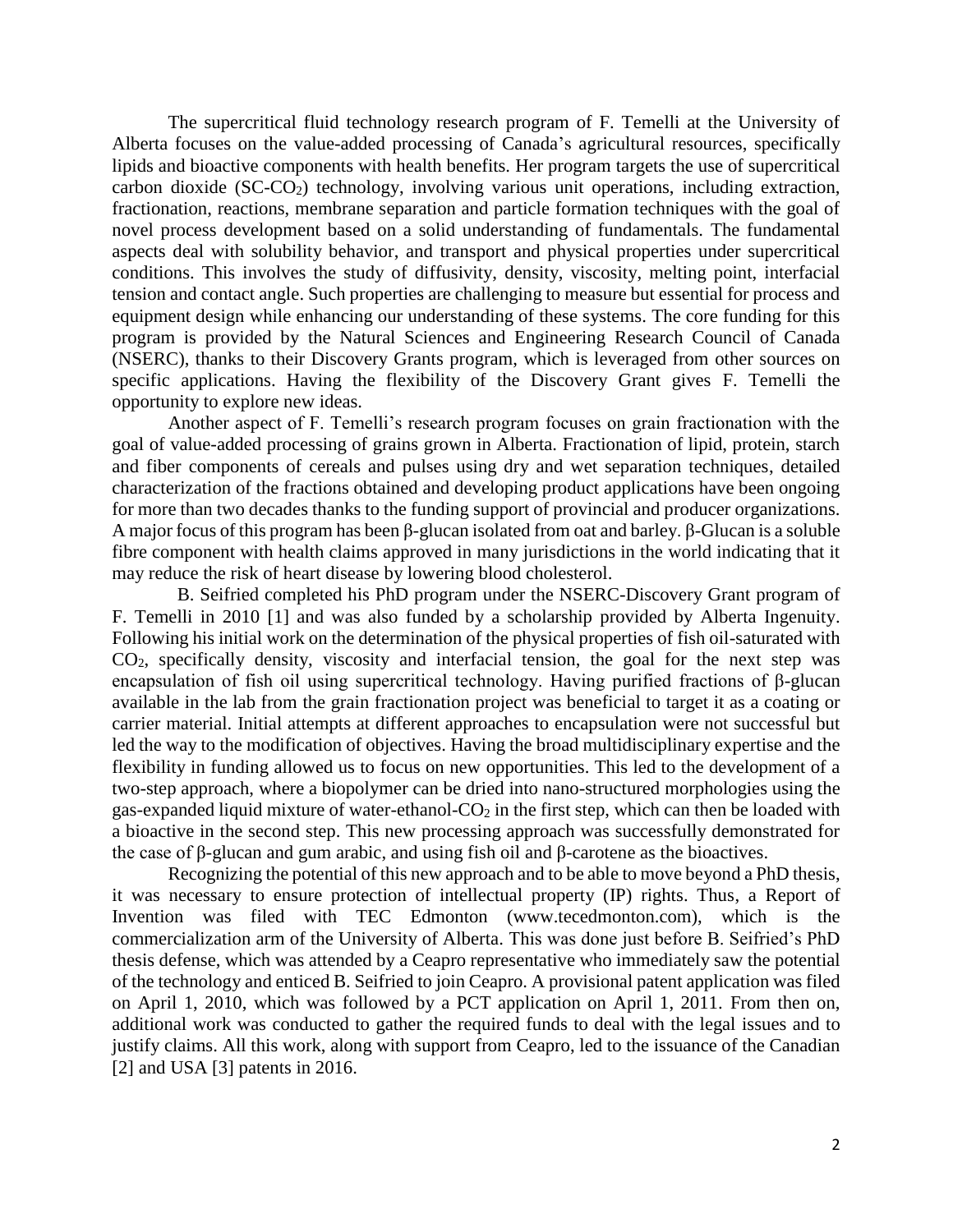The supercritical fluid technology research program of F. Temelli at the University of Alberta focuses on the value-added processing of Canada's agricultural resources, specifically lipids and bioactive components with health benefits. Her program targets the use of supercritical carbon dioxide (SC-CO2) technology, involving various unit operations, including extraction, fractionation, reactions, membrane separation and particle formation techniques with the goal of novel process development based on a solid understanding of fundamentals. The fundamental aspects deal with solubility behavior, and transport and physical properties under supercritical conditions. This involves the study of diffusivity, density, viscosity, melting point, interfacial tension and contact angle. Such properties are challenging to measure but essential for process and equipment design while enhancing our understanding of these systems. The core funding for this program is provided by the Natural Sciences and Engineering Research Council of Canada (NSERC), thanks to their Discovery Grants program, which is leveraged from other sources on specific applications. Having the flexibility of the Discovery Grant gives F. Temelli the opportunity to explore new ideas.

Another aspect of F. Temelli's research program focuses on grain fractionation with the goal of value-added processing of grains grown in Alberta. Fractionation of lipid, protein, starch and fiber components of cereals and pulses using dry and wet separation techniques, detailed characterization of the fractions obtained and developing product applications have been ongoing for more than two decades thanks to the funding support of provincial and producer organizations. A major focus of this program has been β-glucan isolated from oat and barley. β-Glucan is a soluble fibre component with health claims approved in many jurisdictions in the world indicating that it may reduce the risk of heart disease by lowering blood cholesterol.

 B. Seifried completed his PhD program under the NSERC-Discovery Grant program of F. Temelli in 2010 [1] and was also funded by a scholarship provided by Alberta Ingenuity. Following his initial work on the determination of the physical properties of fish oil-saturated with CO2, specifically density, viscosity and interfacial tension, the goal for the next step was encapsulation of fish oil using supercritical technology. Having purified fractions of β-glucan available in the lab from the grain fractionation project was beneficial to target it as a coating or carrier material. Initial attempts at different approaches to encapsulation were not successful but led the way to the modification of objectives. Having the broad multidisciplinary expertise and the flexibility in funding allowed us to focus on new opportunities. This led to the development of a two-step approach, where a biopolymer can be dried into nano-structured morphologies using the gas-expanded liquid mixture of water-ethanol- $CO<sub>2</sub>$  in the first step, which can then be loaded with a bioactive in the second step. This new processing approach was successfully demonstrated for the case of β-glucan and gum arabic, and using fish oil and β-carotene as the bioactives.

Recognizing the potential of this new approach and to be able to move beyond a PhD thesis, it was necessary to ensure protection of intellectual property (IP) rights. Thus, a Report of Invention was filed with TEC Edmonton (www.tecedmonton.com), which is the commercialization arm of the University of Alberta. This was done just before B. Seifried's PhD thesis defense, which was attended by a Ceapro representative who immediately saw the potential of the technology and enticed B. Seifried to join Ceapro. A provisional patent application was filed on April 1, 2010, which was followed by a PCT application on April 1, 2011. From then on, additional work was conducted to gather the required funds to deal with the legal issues and to justify claims. All this work, along with support from Ceapro, led to the issuance of the Canadian [2] and USA [3] patents in 2016.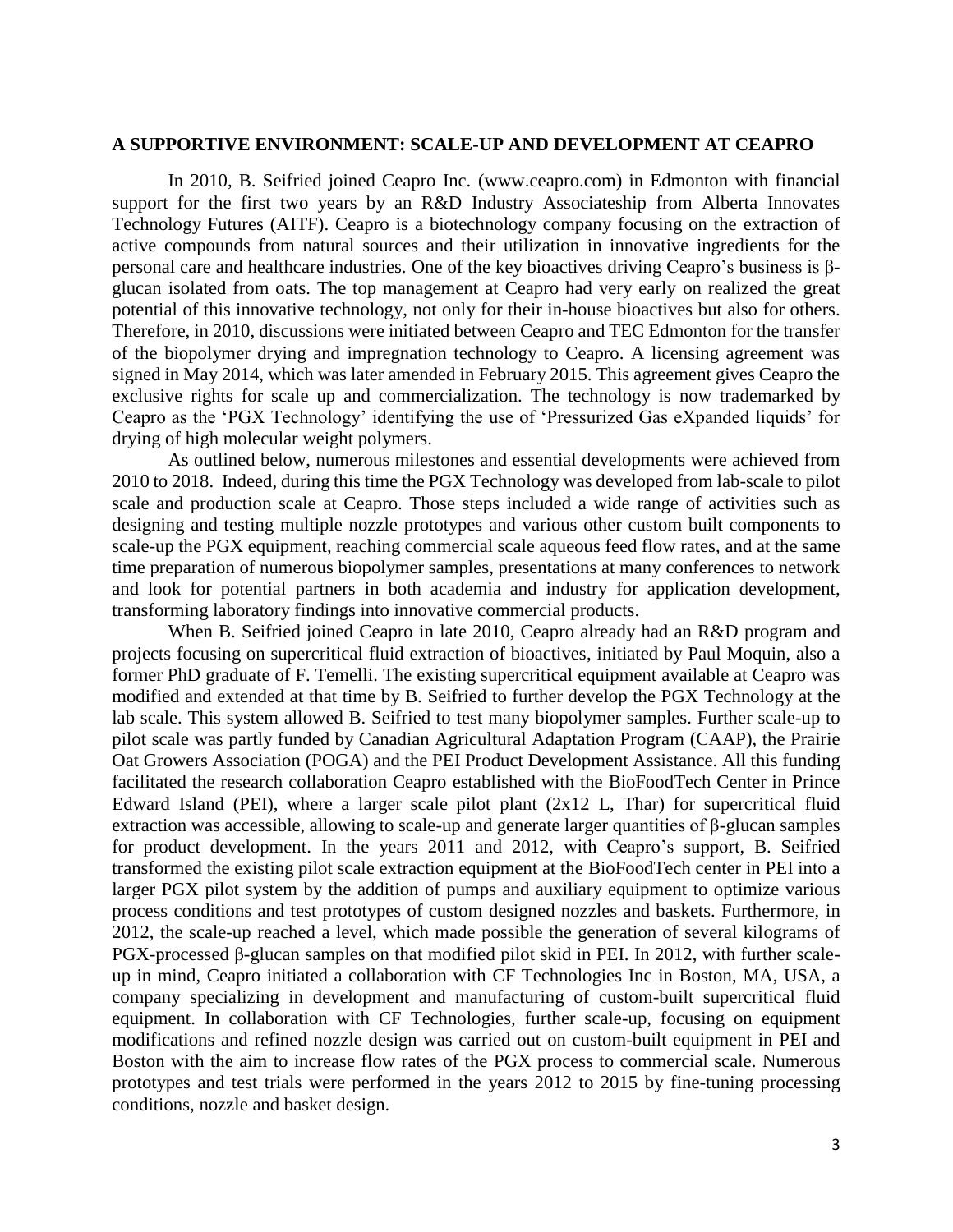#### **A SUPPORTIVE ENVIRONMENT: SCALE-UP AND DEVELOPMENT AT CEAPRO**

In 2010, B. Seifried joined Ceapro Inc. (www.ceapro.com) in Edmonton with financial support for the first two years by an R&D Industry Associateship from Alberta Innovates Technology Futures (AITF). Ceapro is a biotechnology company focusing on the extraction of active compounds from natural sources and their utilization in innovative ingredients for the personal care and healthcare industries. One of the key bioactives driving Ceapro's business is βglucan isolated from oats. The top management at Ceapro had very early on realized the great potential of this innovative technology, not only for their in-house bioactives but also for others. Therefore, in 2010, discussions were initiated between Ceapro and TEC Edmonton for the transfer of the biopolymer drying and impregnation technology to Ceapro. A licensing agreement was signed in May 2014, which was later amended in February 2015. This agreement gives Ceapro the exclusive rights for scale up and commercialization. The technology is now trademarked by Ceapro as the 'PGX Technology' identifying the use of 'Pressurized Gas eXpanded liquids' for drying of high molecular weight polymers.

As outlined below, numerous milestones and essential developments were achieved from 2010 to 2018. Indeed, during this time the PGX Technology was developed from lab-scale to pilot scale and production scale at Ceapro. Those steps included a wide range of activities such as designing and testing multiple nozzle prototypes and various other custom built components to scale-up the PGX equipment, reaching commercial scale aqueous feed flow rates, and at the same time preparation of numerous biopolymer samples, presentations at many conferences to network and look for potential partners in both academia and industry for application development, transforming laboratory findings into innovative commercial products.

When B. Seifried joined Ceapro in late 2010, Ceapro already had an R&D program and projects focusing on supercritical fluid extraction of bioactives, initiated by Paul Moquin, also a former PhD graduate of F. Temelli. The existing supercritical equipment available at Ceapro was modified and extended at that time by B. Seifried to further develop the PGX Technology at the lab scale. This system allowed B. Seifried to test many biopolymer samples. Further scale-up to pilot scale was partly funded by Canadian Agricultural Adaptation Program (CAAP), the Prairie Oat Growers Association (POGA) and the PEI Product Development Assistance. All this funding facilitated the research collaboration Ceapro established with the BioFoodTech Center in Prince Edward Island (PEI), where a larger scale pilot plant (2x12 L, Thar) for supercritical fluid extraction was accessible, allowing to scale-up and generate larger quantities of β-glucan samples for product development. In the years 2011 and 2012, with Ceapro's support, B. Seifried transformed the existing pilot scale extraction equipment at the BioFoodTech center in PEI into a larger PGX pilot system by the addition of pumps and auxiliary equipment to optimize various process conditions and test prototypes of custom designed nozzles and baskets. Furthermore, in 2012, the scale-up reached a level, which made possible the generation of several kilograms of PGX-processed β-glucan samples on that modified pilot skid in PEI. In 2012, with further scaleup in mind, Ceapro initiated a collaboration with CF Technologies Inc in Boston, MA, USA, a company specializing in development and manufacturing of custom-built supercritical fluid equipment. In collaboration with CF Technologies, further scale-up, focusing on equipment modifications and refined nozzle design was carried out on custom-built equipment in PEI and Boston with the aim to increase flow rates of the PGX process to commercial scale. Numerous prototypes and test trials were performed in the years 2012 to 2015 by fine-tuning processing conditions, nozzle and basket design.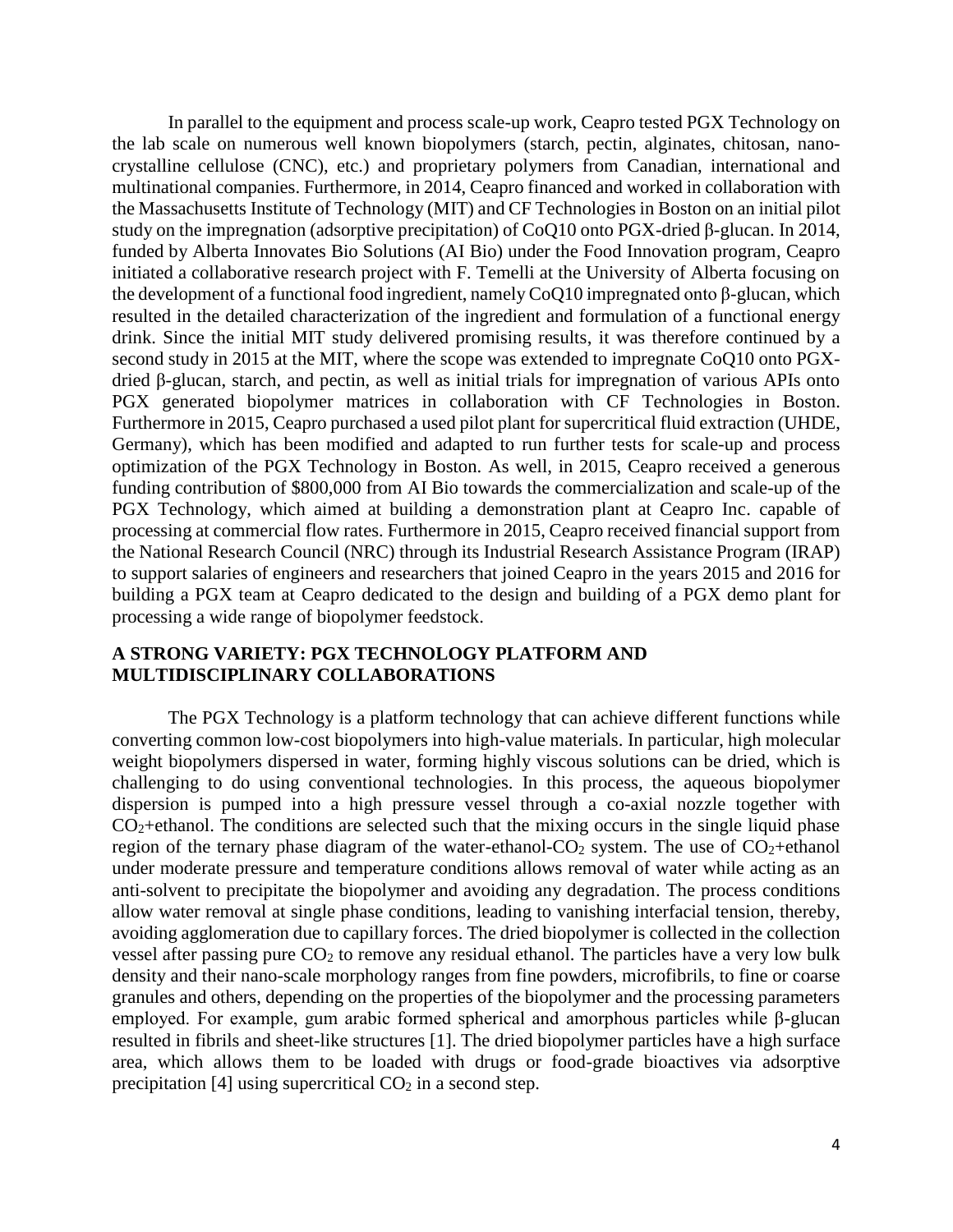In parallel to the equipment and process scale-up work, Ceapro tested PGX Technology on the lab scale on numerous well known biopolymers (starch, pectin, alginates, chitosan, nanocrystalline cellulose (CNC), etc.) and proprietary polymers from Canadian, international and multinational companies. Furthermore, in 2014, Ceapro financed and worked in collaboration with the Massachusetts Institute of Technology (MIT) and CF Technologies in Boston on an initial pilot study on the impregnation (adsorptive precipitation) of CoQ10 onto PGX-dried β-glucan. In 2014, funded by Alberta Innovates Bio Solutions (AI Bio) under the Food Innovation program, Ceapro initiated a collaborative research project with F. Temelli at the University of Alberta focusing on the development of a functional food ingredient, namely CoQ10 impregnated onto β-glucan, which resulted in the detailed characterization of the ingredient and formulation of a functional energy drink. Since the initial MIT study delivered promising results, it was therefore continued by a second study in 2015 at the MIT, where the scope was extended to impregnate CoQ10 onto PGXdried β-glucan, starch, and pectin, as well as initial trials for impregnation of various APIs onto PGX generated biopolymer matrices in collaboration with CF Technologies in Boston. Furthermore in 2015, Ceapro purchased a used pilot plant for supercritical fluid extraction (UHDE, Germany), which has been modified and adapted to run further tests for scale-up and process optimization of the PGX Technology in Boston. As well, in 2015, Ceapro received a generous funding contribution of \$800,000 from AI Bio towards the commercialization and scale-up of the PGX Technology, which aimed at building a demonstration plant at Ceapro Inc. capable of processing at commercial flow rates. Furthermore in 2015, Ceapro received financial support from the National Research Council (NRC) through its Industrial Research Assistance Program (IRAP) to support salaries of engineers and researchers that joined Ceapro in the years 2015 and 2016 for building a PGX team at Ceapro dedicated to the design and building of a PGX demo plant for processing a wide range of biopolymer feedstock.

# **A STRONG VARIETY: PGX TECHNOLOGY PLATFORM AND MULTIDISCIPLINARY COLLABORATIONS**

The PGX Technology is a platform technology that can achieve different functions while converting common low-cost biopolymers into high-value materials. In particular, high molecular weight biopolymers dispersed in water, forming highly viscous solutions can be dried, which is challenging to do using conventional technologies. In this process, the aqueous biopolymer dispersion is pumped into a high pressure vessel through a co-axial nozzle together with  $CO<sub>2</sub> +ethanol$ . The conditions are selected such that the mixing occurs in the single liquid phase region of the ternary phase diagram of the water-ethanol- $CO<sub>2</sub>$  system. The use of  $CO<sub>2</sub>$ +ethanol under moderate pressure and temperature conditions allows removal of water while acting as an anti-solvent to precipitate the biopolymer and avoiding any degradation. The process conditions allow water removal at single phase conditions, leading to vanishing interfacial tension, thereby, avoiding agglomeration due to capillary forces. The dried biopolymer is collected in the collection vessel after passing pure  $CO<sub>2</sub>$  to remove any residual ethanol. The particles have a very low bulk density and their nano-scale morphology ranges from fine powders, microfibrils, to fine or coarse granules and others, depending on the properties of the biopolymer and the processing parameters employed. For example, gum arabic formed spherical and amorphous particles while β-glucan resulted in fibrils and sheet-like structures [1]. The dried biopolymer particles have a high surface area, which allows them to be loaded with drugs or food-grade bioactives via adsorptive precipitation [4] using supercritical  $CO<sub>2</sub>$  in a second step.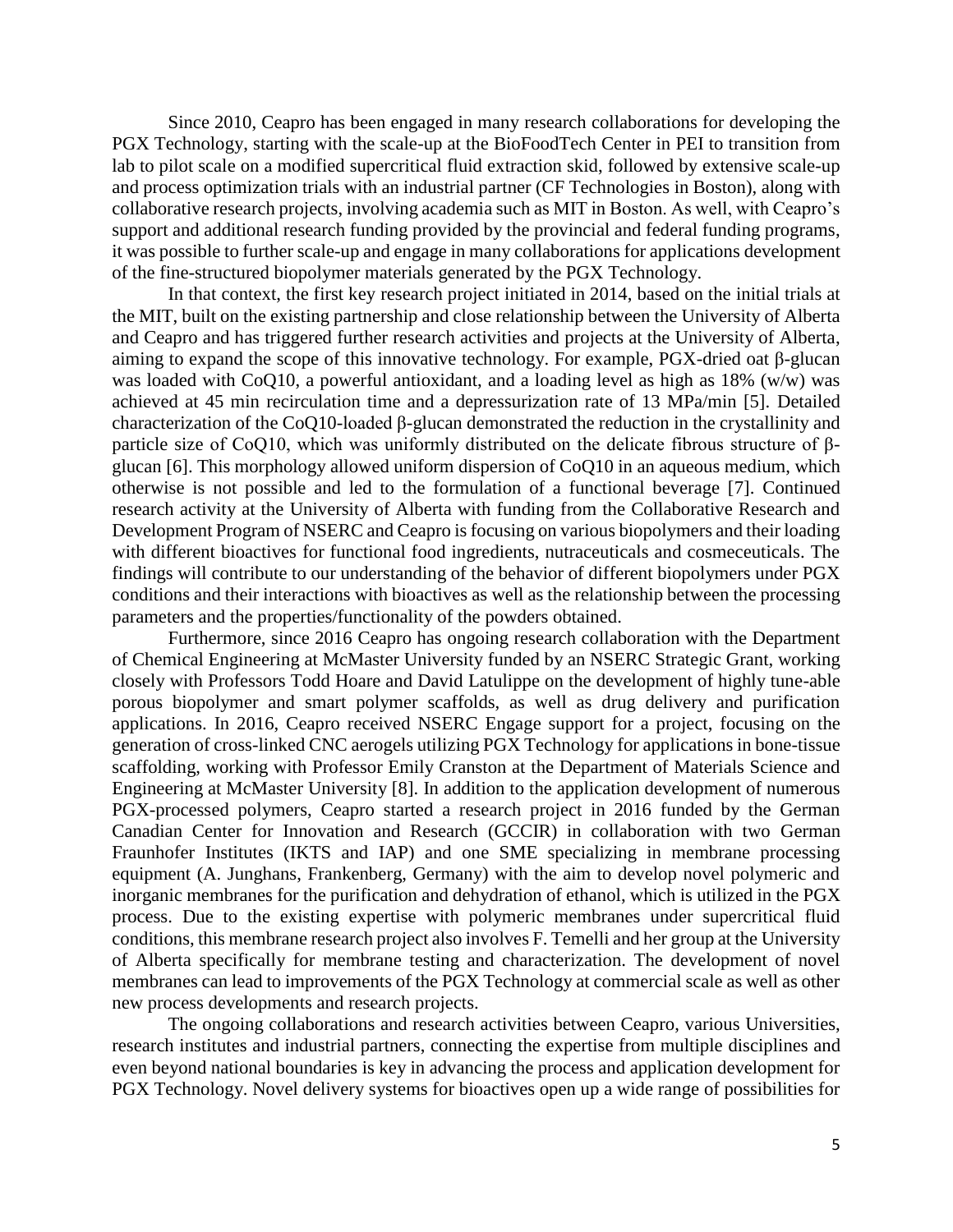Since 2010, Ceapro has been engaged in many research collaborations for developing the PGX Technology, starting with the scale-up at the BioFoodTech Center in PEI to transition from lab to pilot scale on a modified supercritical fluid extraction skid, followed by extensive scale-up and process optimization trials with an industrial partner (CF Technologies in Boston), along with collaborative research projects, involving academia such as MIT in Boston. As well, with Ceapro's support and additional research funding provided by the provincial and federal funding programs, it was possible to further scale-up and engage in many collaborations for applications development of the fine-structured biopolymer materials generated by the PGX Technology.

In that context, the first key research project initiated in 2014, based on the initial trials at the MIT, built on the existing partnership and close relationship between the University of Alberta and Ceapro and has triggered further research activities and projects at the University of Alberta, aiming to expand the scope of this innovative technology. For example, PGX-dried oat β-glucan was loaded with CoQ10, a powerful antioxidant, and a loading level as high as 18% (w/w) was achieved at 45 min recirculation time and a depressurization rate of 13 MPa/min [5]. Detailed characterization of the CoQ10-loaded β-glucan demonstrated the reduction in the crystallinity and particle size of CoQ10, which was uniformly distributed on the delicate fibrous structure of βglucan [6]. This morphology allowed uniform dispersion of CoQ10 in an aqueous medium, which otherwise is not possible and led to the formulation of a functional beverage [7]. Continued research activity at the University of Alberta with funding from the Collaborative Research and Development Program of NSERC and Ceapro is focusing on various biopolymers and their loading with different bioactives for functional food ingredients, nutraceuticals and cosmeceuticals. The findings will contribute to our understanding of the behavior of different biopolymers under PGX conditions and their interactions with bioactives as well as the relationship between the processing parameters and the properties/functionality of the powders obtained.

Furthermore, since 2016 Ceapro has ongoing research collaboration with the Department of Chemical Engineering at McMaster University funded by an NSERC Strategic Grant, working closely with Professors Todd Hoare and David Latulippe on the development of highly tune-able porous biopolymer and smart polymer scaffolds, as well as drug delivery and purification applications. In 2016, Ceapro received NSERC Engage support for a project, focusing on the generation of cross-linked CNC aerogels utilizing PGX Technology for applications in bone-tissue scaffolding, working with Professor Emily Cranston at the Department of Materials Science and Engineering at McMaster University [8]. In addition to the application development of numerous PGX-processed polymers, Ceapro started a research project in 2016 funded by the German Canadian Center for Innovation and Research (GCCIR) in collaboration with two German Fraunhofer Institutes (IKTS and IAP) and one SME specializing in membrane processing equipment (A. Junghans, Frankenberg, Germany) with the aim to develop novel polymeric and inorganic membranes for the purification and dehydration of ethanol, which is utilized in the PGX process. Due to the existing expertise with polymeric membranes under supercritical fluid conditions, this membrane research project also involves F. Temelli and her group at the University of Alberta specifically for membrane testing and characterization. The development of novel membranes can lead to improvements of the PGX Technology at commercial scale as well as other new process developments and research projects.

The ongoing collaborations and research activities between Ceapro, various Universities, research institutes and industrial partners, connecting the expertise from multiple disciplines and even beyond national boundaries is key in advancing the process and application development for PGX Technology. Novel delivery systems for bioactives open up a wide range of possibilities for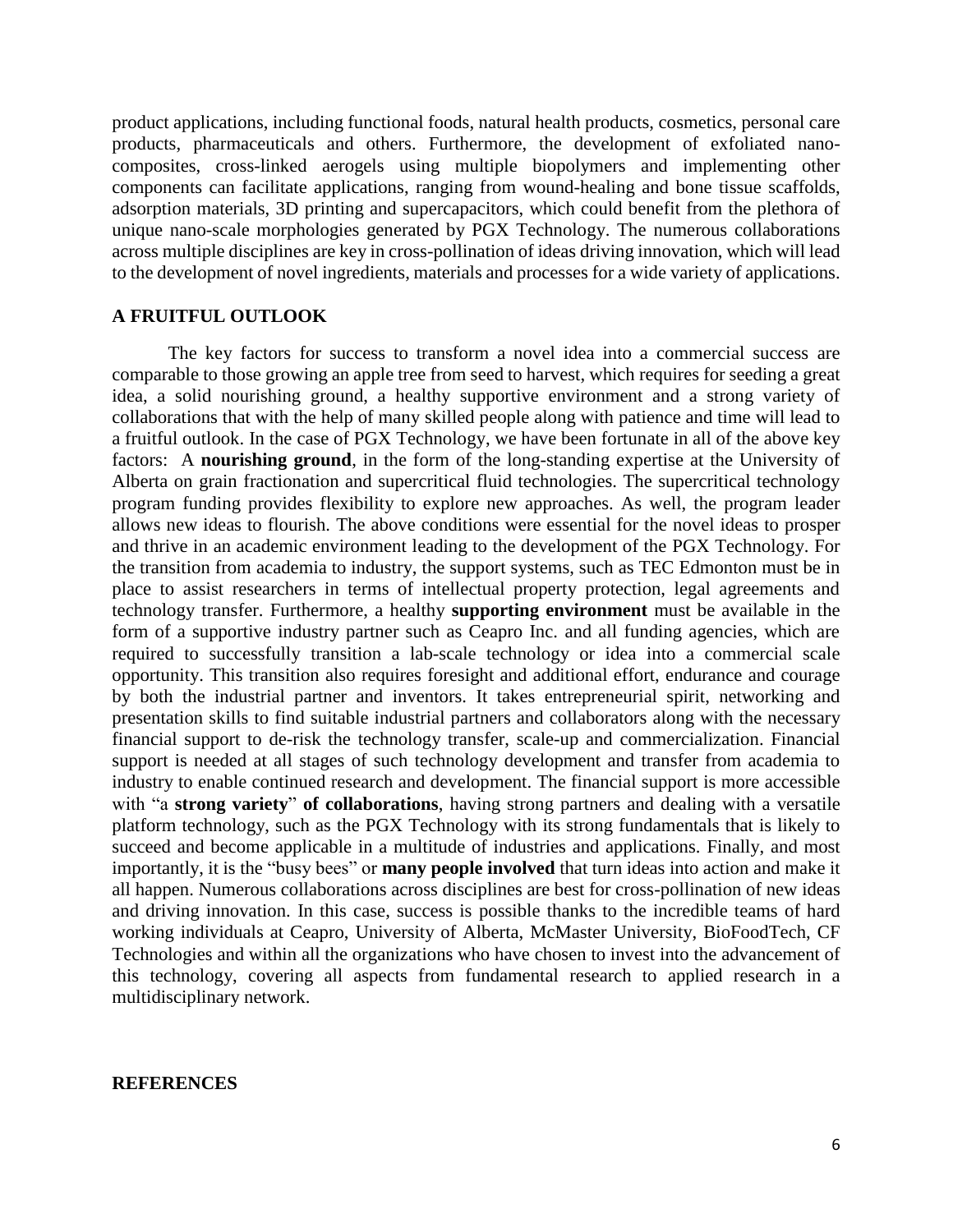product applications, including functional foods, natural health products, cosmetics, personal care products, pharmaceuticals and others. Furthermore, the development of exfoliated nanocomposites, cross-linked aerogels using multiple biopolymers and implementing other components can facilitate applications, ranging from wound-healing and bone tissue scaffolds, adsorption materials, 3D printing and supercapacitors, which could benefit from the plethora of unique nano-scale morphologies generated by PGX Technology. The numerous collaborations across multiple disciplines are key in cross-pollination of ideas driving innovation, which will lead to the development of novel ingredients, materials and processes for a wide variety of applications.

## **A FRUITFUL OUTLOOK**

The key factors for success to transform a novel idea into a commercial success are comparable to those growing an apple tree from seed to harvest, which requires for seeding a great idea, a solid nourishing ground, a healthy supportive environment and a strong variety of collaborations that with the help of many skilled people along with patience and time will lead to a fruitful outlook. In the case of PGX Technology, we have been fortunate in all of the above key factors: A **nourishing ground**, in the form of the long-standing expertise at the University of Alberta on grain fractionation and supercritical fluid technologies. The supercritical technology program funding provides flexibility to explore new approaches. As well, the program leader allows new ideas to flourish. The above conditions were essential for the novel ideas to prosper and thrive in an academic environment leading to the development of the PGX Technology. For the transition from academia to industry, the support systems, such as TEC Edmonton must be in place to assist researchers in terms of intellectual property protection, legal agreements and technology transfer. Furthermore, a healthy **supporting environment** must be available in the form of a supportive industry partner such as Ceapro Inc. and all funding agencies, which are required to successfully transition a lab-scale technology or idea into a commercial scale opportunity. This transition also requires foresight and additional effort, endurance and courage by both the industrial partner and inventors. It takes entrepreneurial spirit, networking and presentation skills to find suitable industrial partners and collaborators along with the necessary financial support to de-risk the technology transfer, scale-up and commercialization. Financial support is needed at all stages of such technology development and transfer from academia to industry to enable continued research and development. The financial support is more accessible with "a **strong variety**" **of collaborations**, having strong partners and dealing with a versatile platform technology, such as the PGX Technology with its strong fundamentals that is likely to succeed and become applicable in a multitude of industries and applications. Finally, and most importantly, it is the "busy bees" or **many people involved** that turn ideas into action and make it all happen. Numerous collaborations across disciplines are best for cross-pollination of new ideas and driving innovation. In this case, success is possible thanks to the incredible teams of hard working individuals at Ceapro, University of Alberta, McMaster University, BioFoodTech, CF Technologies and within all the organizations who have chosen to invest into the advancement of this technology, covering all aspects from fundamental research to applied research in a multidisciplinary network.

#### **REFERENCES**